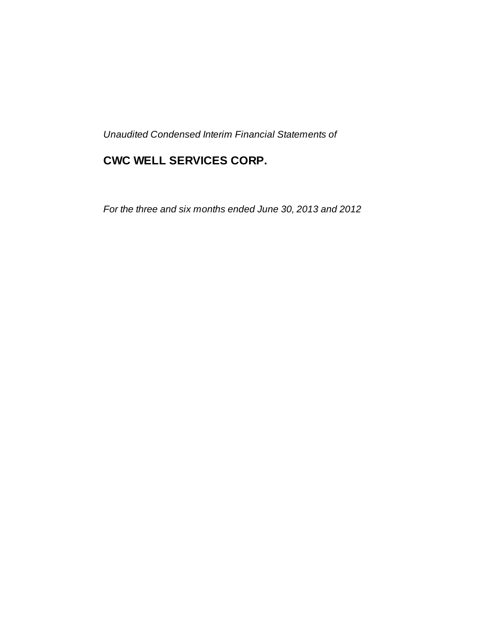*Unaudited Condensed Interim Financial Statements of*

# **CWC WELL SERVICES CORP.**

*For the three and six months ended June 30, 2013 and 2012*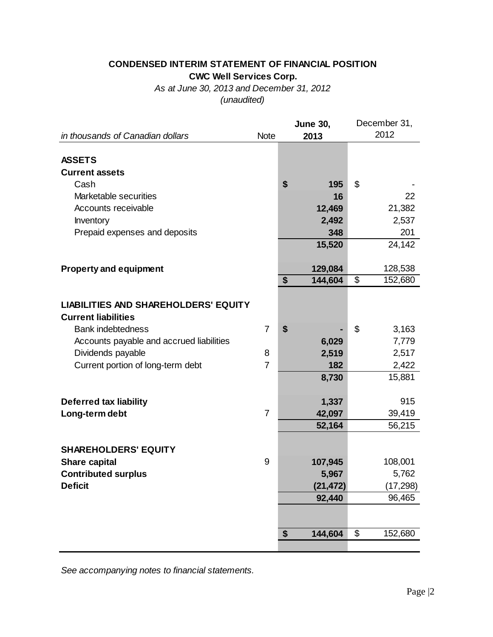### **CONDENSED INTERIM STATEMENT OF FINANCIAL POSITION CWC Well Services Corp.**

*As at June 30, 2013 and December 31, 2012 (unaudited)*

|                                             |                | <b>June 30,</b> | December 31,   |           |  |
|---------------------------------------------|----------------|-----------------|----------------|-----------|--|
| in thousands of Canadian dollars            | <b>Note</b>    | 2013            |                | 2012      |  |
|                                             |                |                 |                |           |  |
| <b>ASSETS</b>                               |                |                 |                |           |  |
| <b>Current assets</b>                       |                |                 |                |           |  |
| Cash                                        |                | \$<br>195       | $\mathfrak{S}$ |           |  |
| Marketable securities                       |                | 16              |                | 22        |  |
| Accounts receivable                         |                | 12,469          |                | 21,382    |  |
| Inventory                                   |                | 2,492           |                | 2,537     |  |
| Prepaid expenses and deposits               |                | 348             |                | 201       |  |
|                                             |                | 15,520          |                | 24,142    |  |
|                                             |                |                 |                |           |  |
| <b>Property and equipment</b>               |                | 129,084         |                | 128,538   |  |
|                                             |                | \$<br>144,604   | \$             | 152,680   |  |
|                                             |                |                 |                |           |  |
| <b>LIABILITIES AND SHAREHOLDERS' EQUITY</b> |                |                 |                |           |  |
| <b>Current liabilities</b>                  |                |                 |                |           |  |
| <b>Bank indebtedness</b>                    | $\overline{7}$ | \$              | \$             | 3,163     |  |
| Accounts payable and accrued liabilities    |                | 6,029           |                | 7,779     |  |
| Dividends payable                           | 8              | 2,519           |                | 2,517     |  |
| Current portion of long-term debt           | $\overline{7}$ | 182             |                | 2,422     |  |
|                                             |                | 8,730           |                | 15,881    |  |
|                                             |                |                 |                |           |  |
| <b>Deferred tax liability</b>               |                | 1,337           |                | 915       |  |
| Long-term debt                              | $\overline{7}$ | 42,097          |                | 39,419    |  |
|                                             |                | 52,164          |                | 56,215    |  |
|                                             |                |                 |                |           |  |
| <b>SHAREHOLDERS' EQUITY</b>                 |                |                 |                |           |  |
| <b>Share capital</b>                        | 9              | 107,945         |                | 108,001   |  |
| <b>Contributed surplus</b>                  |                | 5,967           |                | 5,762     |  |
| <b>Deficit</b>                              |                | (21, 472)       |                | (17, 298) |  |
|                                             |                | 92,440          |                | 96,465    |  |
|                                             |                |                 |                |           |  |
|                                             |                |                 |                |           |  |
|                                             |                | \$<br>144,604   | \$             | 152,680   |  |
|                                             |                |                 |                |           |  |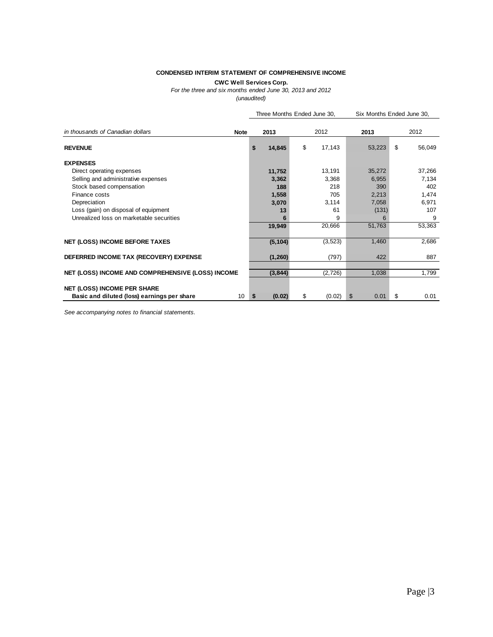#### **CONDENSED INTERIM STATEMENT OF COMPREHENSIVE INCOME**

### **CWC Well Services Corp.**

*For the three and six months ended June 30, 2013 and 2012*

*(unaudited)*

|                                                   | Three Months Ended June 30, |    | Six Months Ended June 30, |            |    |        |
|---------------------------------------------------|-----------------------------|----|---------------------------|------------|----|--------|
| in thousands of Canadian dollars<br><b>Note</b>   | 2013                        |    | 2012                      | 2013       |    | 2012   |
| <b>REVENUE</b>                                    | \$<br>14,845                | \$ | 17,143                    | 53,223     | \$ | 56,049 |
| <b>EXPENSES</b>                                   |                             |    |                           |            |    |        |
| Direct operating expenses                         | 11,752                      |    | 13,191                    | 35,272     |    | 37,266 |
| Selling and administrative expenses               | 3,362                       |    | 3,368                     | 6,955      |    | 7,134  |
| Stock based compensation                          | 188                         |    | 218                       | 390        |    | 402    |
| Finance costs                                     | 1,558                       |    | 705                       | 2,213      |    | 1,474  |
| Depreciation                                      | 3,070                       |    | 3,114                     | 7,058      |    | 6,971  |
| Loss (gain) on disposal of equipment              | 13                          |    | 61                        | (131)      |    | 107    |
| Unrealized loss on marketable securities          | 6                           |    | 9                         | 6          |    | 9      |
|                                                   | 19,949                      |    | 20,666                    | 51,763     |    | 53,363 |
| <b>NET (LOSS) INCOME BEFORE TAXES</b>             | (5, 104)                    |    | (3, 523)                  | 1,460      |    | 2,686  |
| DEFERRED INCOME TAX (RECOVERY) EXPENSE            | (1,260)                     |    | (797)                     | 422        |    | 887    |
| NET (LOSS) INCOME AND COMPREHENSIVE (LOSS) INCOME | (3,844)                     |    | (2,726)                   | 1,038      |    | 1,799  |
|                                                   |                             |    |                           |            |    |        |
| <b>NET (LOSS) INCOME PER SHARE</b>                |                             |    |                           |            |    |        |
| 10<br>Basic and diluted (loss) earnings per share | \$<br>(0.02)                | \$ | (0.02)                    | \$<br>0.01 | \$ | 0.01   |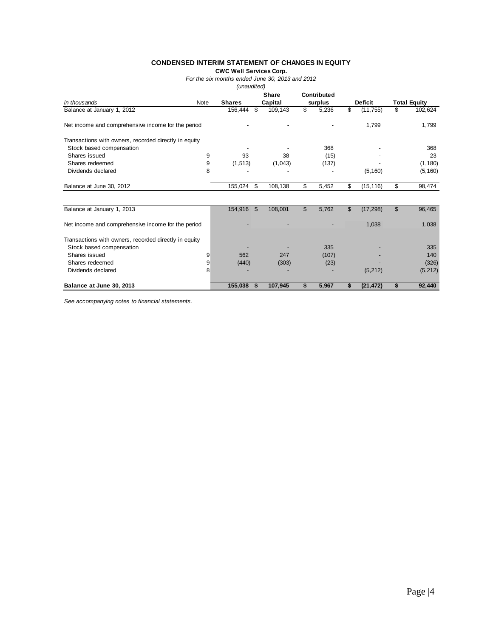#### **CONDENSED INTERIM STATEMENT OF CHANGES IN EQUITY**

**CWC Well Services Corp.**

*For the six months ended June 30, 2013 and 2012*

*(unaudited)*

|                                                                                   |      |               |         | <b>Share</b> |                | Contributed |                |                |                     |          |
|-----------------------------------------------------------------------------------|------|---------------|---------|--------------|----------------|-------------|----------------|----------------|---------------------|----------|
| in thousands                                                                      | Note | <b>Shares</b> | Capital |              | surplus        |             |                | <b>Deficit</b> | <b>Total Equity</b> |          |
| Balance at January 1, 2012                                                        |      | 156,444       | \$      | 109,143      | \$             | 5,236       | \$             | (11, 755)      | \$                  | 102,624  |
| Net income and comprehensive income for the period                                |      |               |         |              |                |             |                | 1,799          |                     | 1,799    |
| Transactions with owners, recorded directly in equity                             |      |               |         |              |                |             |                |                |                     |          |
| Stock based compensation                                                          |      |               |         |              |                | 368         |                |                |                     | 368      |
| Shares issued                                                                     | 9    | 93            |         | 38           |                | (15)        |                |                |                     | 23       |
| Shares redeemed                                                                   | 9    | (1, 513)      |         | (1,043)      |                | (137)       |                |                |                     | (1, 180) |
| Dividends declared                                                                | 8    |               |         |              |                |             |                | (5, 160)       |                     | (5, 160) |
| Balance at June 30, 2012                                                          |      | 155,024       | \$      | 108,138      | \$             | 5,452       | \$             | (15, 116)      | \$                  | 98,474   |
| Balance at January 1, 2013                                                        |      | 154,916       | \$      | 108,001      | $\mathfrak{L}$ | 5,762       | $\mathfrak{L}$ | (17, 298)      | \$                  | 96,465   |
| Net income and comprehensive income for the period                                |      |               |         |              |                |             |                | 1,038          |                     | 1,038    |
| Transactions with owners, recorded directly in equity<br>Stock based compensation |      |               |         |              |                | 335         |                |                |                     | 335      |
| Shares issued                                                                     | 9    | 562           |         | 247          |                | (107)       |                |                |                     | 140      |
| Shares redeemed                                                                   | 9    | (440)         |         | (303)        |                | (23)        |                |                |                     | (326)    |
| Dividends declared                                                                | 8    |               |         |              |                |             |                | (5, 212)       |                     | (5, 212) |
| Balance at June 30, 2013                                                          |      | 155,038       | \$      | 107,945      | \$             | 5,967       | S              | (21, 472)      | \$                  | 92,440   |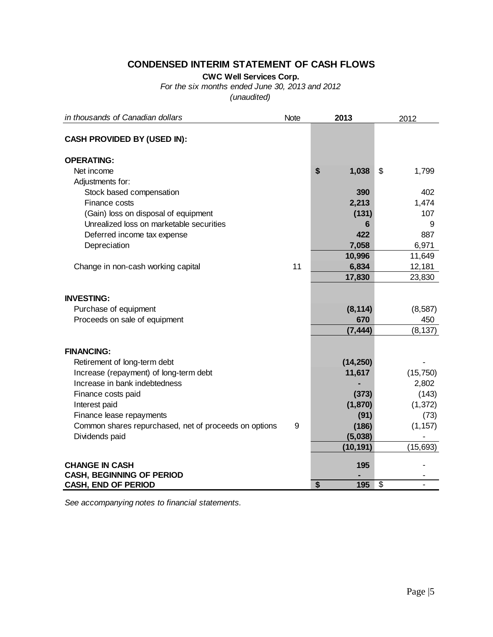## **CONDENSED INTERIM STATEMENT OF CASH FLOWS**

**CWC Well Services Corp.**

*For the six months ended June 30, 2013 and 2012*

*(unaudited)*

| in thousands of Canadian dollars                      | <b>Note</b> | 2013        |                          | 2012      |
|-------------------------------------------------------|-------------|-------------|--------------------------|-----------|
| <b>CASH PROVIDED BY (USED IN):</b>                    |             |             |                          |           |
| <b>OPERATING:</b>                                     |             |             |                          |           |
| Net income                                            |             | \$<br>1,038 | \$                       | 1,799     |
| Adjustments for:                                      |             |             |                          |           |
| Stock based compensation                              |             | 390         |                          | 402       |
| Finance costs                                         |             | 2,213       |                          | 1,474     |
| (Gain) loss on disposal of equipment                  |             | (131)       |                          | 107       |
| Unrealized loss on marketable securities              |             | 6           |                          | 9         |
| Deferred income tax expense                           |             | 422         |                          | 887       |
| Depreciation                                          |             | 7,058       |                          | 6,971     |
|                                                       |             | 10,996      |                          | 11,649    |
| Change in non-cash working capital                    | 11          | 6,834       |                          | 12,181    |
|                                                       |             | 17,830      |                          | 23,830    |
| <b>INVESTING:</b>                                     |             |             |                          |           |
| Purchase of equipment                                 |             | (8, 114)    |                          | (8, 587)  |
| Proceeds on sale of equipment                         |             | 670         |                          | 450       |
|                                                       |             | (7, 444)    |                          | (8, 137)  |
|                                                       |             |             |                          |           |
| <b>FINANCING:</b>                                     |             |             |                          |           |
| Retirement of long-term debt                          |             | (14, 250)   |                          |           |
| Increase (repayment) of long-term debt                |             | 11,617      |                          | (15, 750) |
| Increase in bank indebtedness                         |             |             |                          | 2,802     |
| Finance costs paid                                    |             | (373)       |                          | (143)     |
| Interest paid                                         |             | (1, 870)    |                          | (1, 372)  |
| Finance lease repayments                              |             | (91)        |                          | (73)      |
| Common shares repurchased, net of proceeds on options | 9           | (186)       |                          | (1, 157)  |
| Dividends paid                                        |             | (5,038)     |                          |           |
|                                                       |             | (10, 191)   |                          | (15, 693) |
| <b>CHANGE IN CASH</b>                                 |             | 195         |                          |           |
| <b>CASH, BEGINNING OF PERIOD</b>                      |             |             |                          |           |
| <b>CASH, END OF PERIOD</b>                            |             | \$<br>195   | $\overline{\mathcal{S}}$ |           |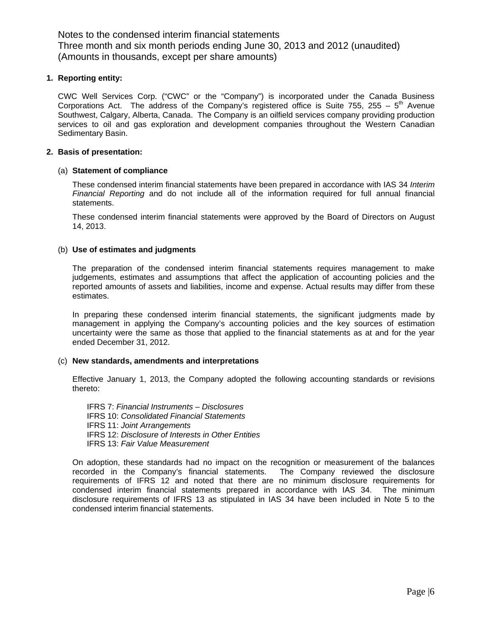#### **1. Reporting entity:**

CWC Well Services Corp. ("CWC" or the "Company") is incorporated under the Canada Business Corporations Act. The address of the Company's registered office is Suite 755, 255 –  $5<sup>th</sup>$  Avenue Southwest, Calgary, Alberta, Canada. The Company is an oilfield services company providing production services to oil and gas exploration and development companies throughout the Western Canadian Sedimentary Basin.

#### **2. Basis of presentation:**

### (a) **Statement of compliance**

These condensed interim financial statements have been prepared in accordance with IAS 34 *Interim Financial Reporting* and do not include all of the information required for full annual financial statements.

These condensed interim financial statements were approved by the Board of Directors on August 14, 2013.

### (b) **Use of estimates and judgments**

The preparation of the condensed interim financial statements requires management to make judgements, estimates and assumptions that affect the application of accounting policies and the reported amounts of assets and liabilities, income and expense. Actual results may differ from these estimates.

In preparing these condensed interim financial statements, the significant judgments made by management in applying the Company's accounting policies and the key sources of estimation uncertainty were the same as those that applied to the financial statements as at and for the year ended December 31, 2012.

#### (c) **New standards, amendments and interpretations**

Effective January 1, 2013, the Company adopted the following accounting standards or revisions thereto:

IFRS 7: *Financial Instruments – Disclosures* IFRS 10: *Consolidated Financial Statements*  IFRS 11: *Joint Arrangements* IFRS 12: *Disclosure of Interests in Other Entities* IFRS 13: *Fair Value Measurement*

On adoption, these standards had no impact on the recognition or measurement of the balances recorded in the Company's financial statements. The Company reviewed the disclosure requirements of IFRS 12 and noted that there are no minimum disclosure requirements for condensed interim financial statements prepared in accordance with IAS 34. The minimum disclosure requirements of IFRS 13 as stipulated in IAS 34 have been included in Note 5 to the condensed interim financial statements.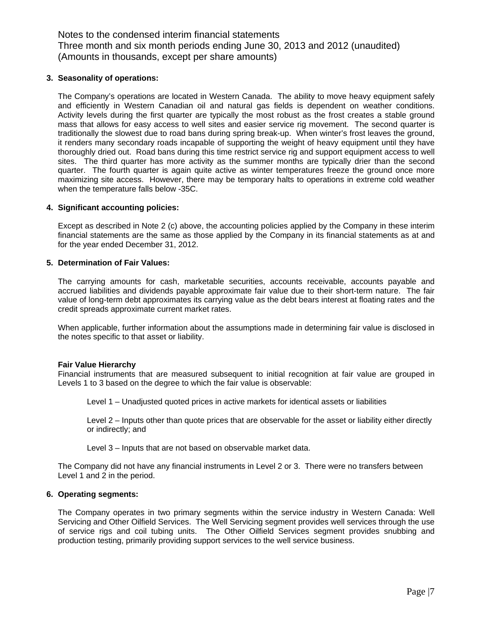#### **3. Seasonality of operations:**

The Company's operations are located in Western Canada. The ability to move heavy equipment safely and efficiently in Western Canadian oil and natural gas fields is dependent on weather conditions. Activity levels during the first quarter are typically the most robust as the frost creates a stable ground mass that allows for easy access to well sites and easier service rig movement. The second quarter is traditionally the slowest due to road bans during spring break-up. When winter's frost leaves the ground, it renders many secondary roads incapable of supporting the weight of heavy equipment until they have thoroughly dried out. Road bans during this time restrict service rig and support equipment access to well sites. The third quarter has more activity as the summer months are typically drier than the second quarter. The fourth quarter is again quite active as winter temperatures freeze the ground once more maximizing site access. However, there may be temporary halts to operations in extreme cold weather when the temperature falls below -35C.

### **4. Significant accounting policies:**

Except as described in Note 2 (c) above, the accounting policies applied by the Company in these interim financial statements are the same as those applied by the Company in its financial statements as at and for the year ended December 31, 2012.

#### **5. Determination of Fair Values:**

The carrying amounts for cash, marketable securities, accounts receivable, accounts payable and accrued liabilities and dividends payable approximate fair value due to their short-term nature. The fair value of long-term debt approximates its carrying value as the debt bears interest at floating rates and the credit spreads approximate current market rates.

When applicable, further information about the assumptions made in determining fair value is disclosed in the notes specific to that asset or liability.

#### **Fair Value Hierarchy**

Financial instruments that are measured subsequent to initial recognition at fair value are grouped in Levels 1 to 3 based on the degree to which the fair value is observable:

Level 1 – Unadjusted quoted prices in active markets for identical assets or liabilities

Level 2 – Inputs other than quote prices that are observable for the asset or liability either directly or indirectly; and

Level 3 – Inputs that are not based on observable market data.

The Company did not have any financial instruments in Level 2 or 3. There were no transfers between Level 1 and 2 in the period.

#### **6. Operating segments:**

The Company operates in two primary segments within the service industry in Western Canada: Well Servicing and Other Oilfield Services. The Well Servicing segment provides well services through the use of service rigs and coil tubing units. The Other Oilfield Services segment provides snubbing and production testing, primarily providing support services to the well service business.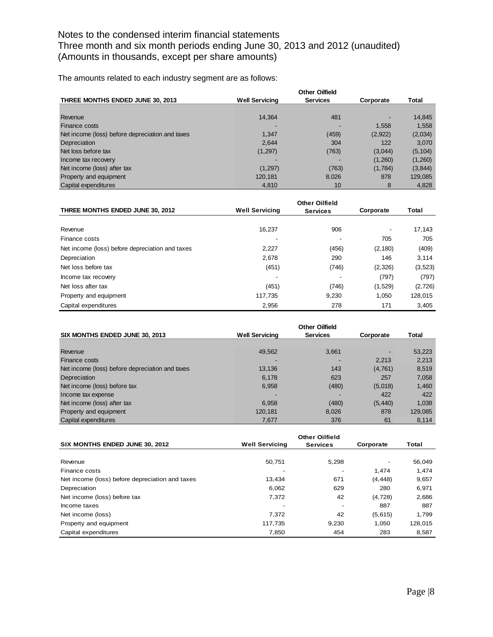The amounts related to each industry segment are as follows:

| THREE MONTHS ENDED JUNE 30, 2013                | <b>Well Servicing</b> | <b>Services</b> | Corporate | Total    |
|-------------------------------------------------|-----------------------|-----------------|-----------|----------|
|                                                 |                       |                 |           |          |
| Revenue                                         | 14,364                | 481             |           | 14,845   |
| Finance costs                                   |                       |                 | 1.558     | 1,558    |
| Net income (loss) before depreciation and taxes | 1.347                 | (459)           | (2,922)   | (2,034)  |
| Depreciation                                    | 2,644                 | 304             | 122       | 3,070    |
| Net loss before tax                             | (1,297)               | (763)           | (3,044)   | (5, 104) |
| Income tax recovery                             |                       |                 | (1,260)   | (1,260)  |
| Net income (loss) after tax                     | (1,297)               | (763)           | (1,784)   | (3,844)  |
| Property and equipment                          | 120,181               | 8,026           | 878       | 129,085  |
| Capital expenditures                            | 4,810                 | 10              | 8         | 4,828    |

| THREE MONTHS ENDED JUNE 30, 2012                | <b>Well Servicing</b> | <b>Services</b> | Corporate | Total    |
|-------------------------------------------------|-----------------------|-----------------|-----------|----------|
|                                                 |                       |                 |           |          |
| Revenue                                         | 16.237                | 906             |           | 17,143   |
| Finance costs                                   |                       |                 | 705       | 705      |
| Net income (loss) before depreciation and taxes | 2,227                 | (456)           | (2, 180)  | (409)    |
| Depreciation                                    | 2,678                 | 290             | 146       | 3,114    |
| Net loss before tax                             | (451)                 | (746)           | (2,326)   | (3, 523) |
| Income tax recovery                             |                       |                 | (797)     | (797)    |
| Net loss after tax                              | (451)                 | (746)           | (1,529)   | (2, 726) |
| Property and equipment                          | 117,735               | 9.230           | 1.050     | 128,015  |
| Capital expenditures                            | 2,956                 | 278             | 171       | 3,405    |

|                                                 |                       | <b>Other Oilfield</b> |           |         |
|-------------------------------------------------|-----------------------|-----------------------|-----------|---------|
| SIX MONTHS ENDED JUNE 30, 2013                  | <b>Well Servicing</b> | <b>Services</b>       | Corporate | Total   |
|                                                 |                       |                       |           |         |
| Revenue                                         | 49,562                | 3.661                 |           | 53,223  |
| <b>Finance costs</b>                            |                       |                       | 2.213     | 2,213   |
| Net income (loss) before depreciation and taxes | 13,136                | 143                   | (4,761)   | 8,519   |
| Depreciation                                    | 6,178                 | 623                   | 257       | 7,058   |
| Net income (loss) before tax                    | 6,958                 | (480)                 | (5,018)   | 1,460   |
| Income tax expense                              |                       |                       | 422       | 422     |
| Net income (loss) after tax                     | 6,958                 | (480)                 | (5, 440)  | 1.038   |
| Property and equipment                          | 120,181               | 8.026                 | 878       | 129,085 |
| Capital expenditures                            | 7,677                 | 376                   | 61        | 8.114   |

| SIX MONTHS ENDED JUNE 30, 2012                  | <b>Well Servicing</b>    | <b>Services</b>          | Corporate | Total   |
|-------------------------------------------------|--------------------------|--------------------------|-----------|---------|
|                                                 |                          |                          |           |         |
| Revenue                                         | 50.751                   | 5,298                    |           | 56,049  |
| Finance costs                                   |                          | $\overline{\phantom{a}}$ | 1.474     | 1,474   |
| Net income (loss) before depreciation and taxes | 13.434                   | 671                      | (4, 448)  | 9,657   |
| Depreciation                                    | 6,062                    | 629                      | 280       | 6,971   |
| Net income (loss) before tax                    | 7,372                    | 42                       | (4, 728)  | 2,686   |
| Income taxes                                    | $\overline{\phantom{0}}$ | $\overline{\phantom{a}}$ | 887       | 887     |
| Net income (loss)                               | 7.372                    | 42                       | (5,615)   | 1.799   |
| Property and equipment                          | 117,735                  | 9,230                    | 1.050     | 128,015 |
| Capital expenditures                            | 7,850                    | 454                      | 283       | 8,587   |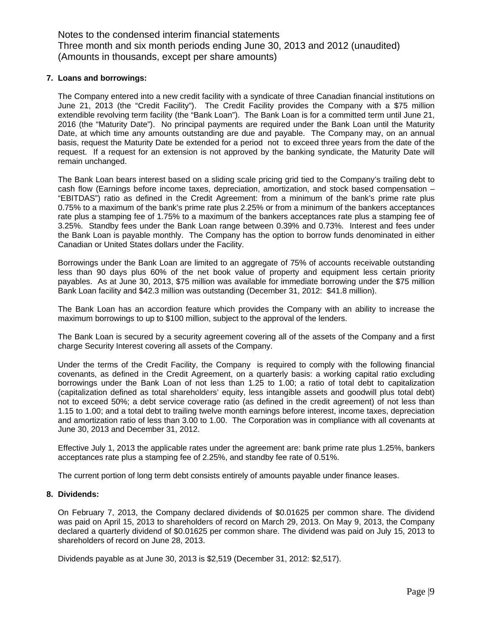#### **7. Loans and borrowings:**

The Company entered into a new credit facility with a syndicate of three Canadian financial institutions on June 21, 2013 (the "Credit Facility"). The Credit Facility provides the Company with a \$75 million extendible revolving term facility (the "Bank Loan"). The Bank Loan is for a committed term until June 21, 2016 (the "Maturity Date"). No principal payments are required under the Bank Loan until the Maturity Date, at which time any amounts outstanding are due and payable. The Company may, on an annual basis, request the Maturity Date be extended for a period not to exceed three years from the date of the request. If a request for an extension is not approved by the banking syndicate, the Maturity Date will remain unchanged.

The Bank Loan bears interest based on a sliding scale pricing grid tied to the Company's trailing debt to cash flow (Earnings before income taxes, depreciation, amortization, and stock based compensation – "EBITDAS") ratio as defined in the Credit Agreement: from a minimum of the bank's prime rate plus 0.75% to a maximum of the bank's prime rate plus 2.25% or from a minimum of the bankers acceptances rate plus a stamping fee of 1.75% to a maximum of the bankers acceptances rate plus a stamping fee of 3.25%. Standby fees under the Bank Loan range between 0.39% and 0.73%. Interest and fees under the Bank Loan is payable monthly. The Company has the option to borrow funds denominated in either Canadian or United States dollars under the Facility.

Borrowings under the Bank Loan are limited to an aggregate of 75% of accounts receivable outstanding less than 90 days plus 60% of the net book value of property and equipment less certain priority payables. As at June 30, 2013, \$75 million was available for immediate borrowing under the \$75 million Bank Loan facility and \$42.3 million was outstanding (December 31, 2012: \$41.8 million).

The Bank Loan has an accordion feature which provides the Company with an ability to increase the maximum borrowings to up to \$100 million, subject to the approval of the lenders.

The Bank Loan is secured by a security agreement covering all of the assets of the Company and a first charge Security Interest covering all assets of the Company.

Under the terms of the Credit Facility, the Company is required to comply with the following financial covenants, as defined in the Credit Agreement, on a quarterly basis: a working capital ratio excluding borrowings under the Bank Loan of not less than 1.25 to 1.00; a ratio of total debt to capitalization (capitalization defined as total shareholders' equity, less intangible assets and goodwill plus total debt) not to exceed 50%; a debt service coverage ratio (as defined in the credit agreement) of not less than 1.15 to 1.00; and a total debt to trailing twelve month earnings before interest, income taxes, depreciation and amortization ratio of less than 3.00 to 1.00. The Corporation was in compliance with all covenants at June 30, 2013 and December 31, 2012.

Effective July 1, 2013 the applicable rates under the agreement are: bank prime rate plus 1.25%, bankers acceptances rate plus a stamping fee of 2.25%, and standby fee rate of 0.51%.

The current portion of long term debt consists entirely of amounts payable under finance leases.

### **8. Dividends:**

On February 7, 2013, the Company declared dividends of \$0.01625 per common share. The dividend was paid on April 15, 2013 to shareholders of record on March 29, 2013. On May 9, 2013, the Company declared a quarterly dividend of \$0.01625 per common share. The dividend was paid on July 15, 2013 to shareholders of record on June 28, 2013.

Dividends payable as at June 30, 2013 is \$2,519 (December 31, 2012: \$2,517).